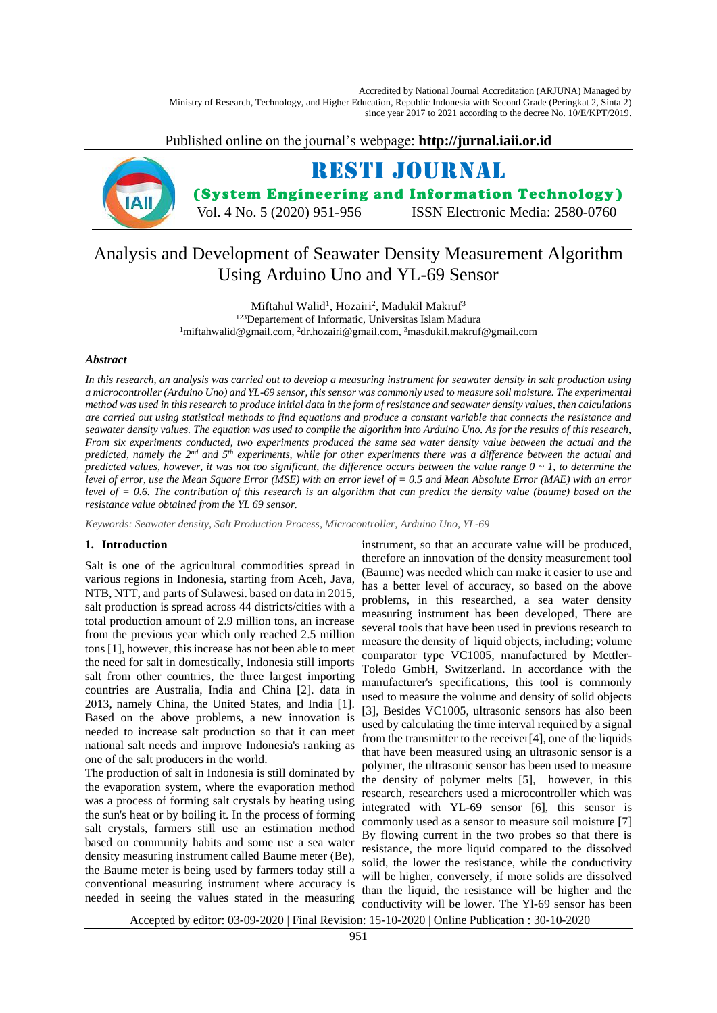Accredited by National Journal Accreditation (ARJUNA) Managed by Ministry of Research, Technology, and Higher Education, Republic Indonesia with Second Grade (Peringkat 2, Sinta 2) since year 2017 to 2021 according to the decree No. 10/E/KPT/2019.

Published online on the journal's webpage: **http://jurnal.iaii.or.id**



# Analysis and Development of Seawater Density Measurement Algorithm Using Arduino Uno and YL-69 Sensor

Miftahul Walid<sup>1</sup>, Hozairi<sup>2</sup>, Madukil Makruf<sup>3</sup>

<sup>123</sup>Departement of Informatic, Universitas Islam Madura <sup>1</sup>miftahwalid@gmail.com, <sup>2</sup>dr.hozairi@gmail.com, <sup>3</sup>masdukil.makruf@gmail.com

#### *Abstract*

*In this research, an analysis was carried out to develop a measuring instrument for seawater density in salt production using a microcontroller (Arduino Uno) and YL-69 sensor, this sensor was commonly used to measure soil moisture. The experimental method was used in this research to produce initial data in the form of resistance and seawater density values, then calculations are carried out using statistical methods to find equations and produce a constant variable that connects the resistance and seawater density values. The equation was used to compile the algorithm into Arduino Uno. As for the results of this research, From six experiments conducted, two experiments produced the same sea water density value between the actual and the predicted, namely the 2nd and 5 th experiments, while for other experiments there was a difference between the actual and predicted values, however, it was not too significant, the difference occurs between the value range 0 ~ 1, to determine the level of error, use the Mean Square Error (MSE) with an error level of = 0.5 and Mean Absolute Error (MAE) with an error level of = 0.6. The contribution of this research is an algorithm that can predict the density value (baume) based on the resistance value obtained from the YL 69 sensor.*

*Keywords: Seawater density, Salt Production Process, Microcontroller, Arduino Uno, YL-69*

## **1. Introduction**

Salt is one of the agricultural commodities spread in various regions in Indonesia, starting from Aceh, Java, NTB, NTT, and parts of Sulawesi. based on data in 2015, salt production is spread across 44 districts/cities with a total production amount of 2.9 million tons, an increase from the previous year which only reached 2.5 million tons [1], however, this increase has not been able to meet the need for salt in domestically, Indonesia still imports salt from other countries, the three largest importing countries are Australia, India and China [2]. data in 2013, namely China, the United States, and India [1]. Based on the above problems, a new innovation is needed to increase salt production so that it can meet national salt needs and improve Indonesia's ranking as one of the salt producers in the world.

The production of salt in Indonesia is still dominated by the evaporation system, where the evaporation method was a process of forming salt crystals by heating using the sun's heat or by boiling it. In the process of forming salt crystals, farmers still use an estimation method based on community habits and some use a sea water density measuring instrument called Baume meter (Be), the Baume meter is being used by farmers today still a conventional measuring instrument where accuracy is needed in seeing the values stated in the measuring

instrument, so that an accurate value will be produced, therefore an innovation of the density measurement tool (Baume) was needed which can make it easier to use and has a better level of accuracy, so based on the above problems, in this researched, a sea water density measuring instrument has been developed, There are several tools that have been used in previous research to measure the density of liquid objects, including; volume comparator type VC1005, manufactured by Mettler-Toledo GmbH, Switzerland. In accordance with the manufacturer's specifications, this tool is commonly used to measure the volume and density of solid objects [3], Besides VC1005, ultrasonic sensors has also been used by calculating the time interval required by a signal from the transmitter to the receiver[4], one of the liquids that have been measured using an ultrasonic sensor is a polymer, the ultrasonic sensor has been used to measure the density of polymer melts [5], however, in this research, researchers used a microcontroller which was integrated with YL-69 sensor [6], this sensor is commonly used as a sensor to measure soil moisture [7] By flowing current in the two probes so that there is resistance, the more liquid compared to the dissolved solid, the lower the resistance, while the conductivity will be higher, conversely, if more solids are dissolved than the liquid, the resistance will be higher and the conductivity will be lower. The Yl-69 sensor has been

Accepted by editor: 03-09-2020 | Final Revision: 15-10-2020 | Online Publication : 30-10-2020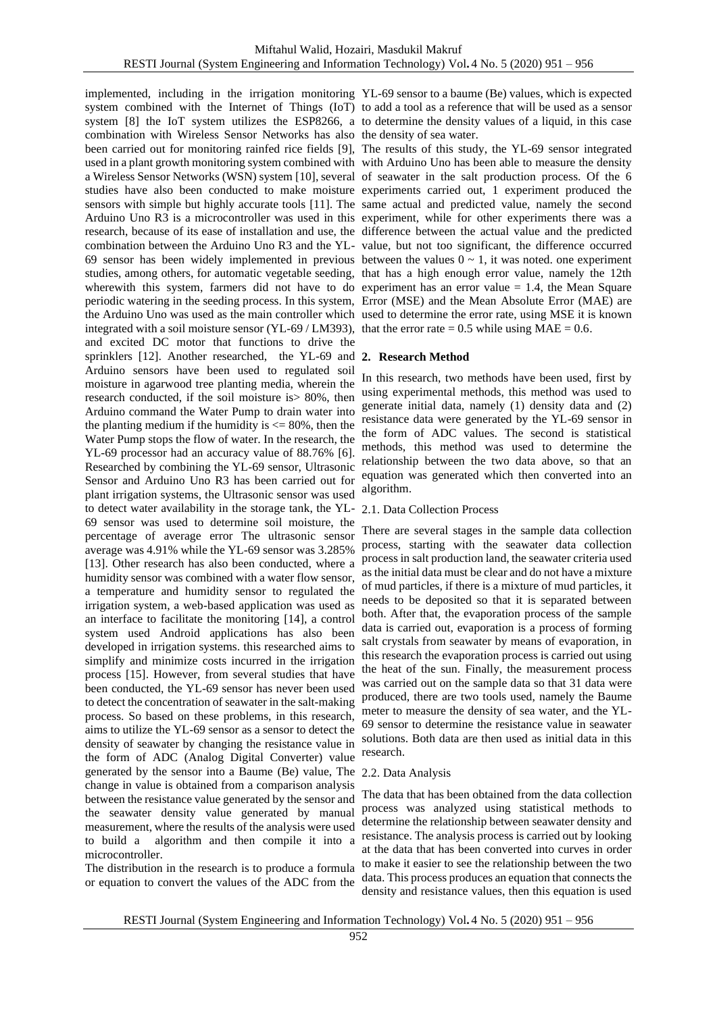system combined with the Internet of Things (IoT) to add a tool as a reference that will be used as a sensor system [8] the IoT system utilizes the ESP8266, a to determine the density values of a liquid, in this case combination with Wireless Sensor Networks has also the density of sea water. been carried out for monitoring rainfed rice fields [9], The results of this study, the YL-69 sensor integrated used in a plant growth monitoring system combined with with Arduino Uno has been able to measure the density a Wireless Sensor Networks (WSN) system [10], several of seawater in the salt production process. Of the 6 studies have also been conducted to make moisture experiments carried out, 1 experiment produced the sensors with simple but highly accurate tools [11]. The same actual and predicted value, namely the second Arduino Uno R3 is a microcontroller was used in this experiment, while for other experiments there was a research, because of its ease of installation and use, the difference between the actual value and the predicted combination between the Arduino Uno R3 and the YL-value, but not too significant, the difference occurred 69 sensor has been widely implemented in previous between the values  $0 \sim 1$ , it was noted. one experiment studies, among others, for automatic vegetable seeding, that has a high enough error value, namely the 12th wherewith this system, farmers did not have to do experiment has an error value = 1.4, the Mean Square periodic watering in the seeding process. In this system, Error (MSE) and the Mean Absolute Error (MAE) are the Arduino Uno was used as the main controller which used to determine the error rate, using MSE it is known integrated with a soil moisture sensor (YL-69 / LM393), that the error rate = 0.5 while using  $MAE = 0.6$ . and excited DC motor that functions to drive the sprinklers [12]. Another researched, the YL-69 and **2. Research Method** Arduino sensors have been used to regulated soil moisture in agarwood tree planting media, wherein the research conducted, if the soil moisture is> 80%, then Arduino command the Water Pump to drain water into the planting medium if the humidity is  $\leq$  80%, then the Water Pump stops the flow of water. In the research, the YL-69 processor had an accuracy value of 88.76% [6]. Researched by combining the YL-69 sensor, Ultrasonic Sensor and Arduino Uno R3 has been carried out for plant irrigation systems, the Ultrasonic sensor was used to detect water availability in the storage tank, the YL-69 sensor was used to determine soil moisture, the percentage of average error The ultrasonic sensor average was 4.91% while the YL-69 sensor was 3.285% [13]. Other research has also been conducted, where a humidity sensor was combined with a water flow sensor, a temperature and humidity sensor to regulated the irrigation system, a web-based application was used as an interface to facilitate the monitoring [14], a control system used Android applications has also been developed in irrigation systems. this researched aims to simplify and minimize costs incurred in the irrigation process [15]. However, from several studies that have been conducted, the YL-69 sensor has never been used to detect the concentration of seawater in the salt-making process. So based on these problems, in this research, aims to utilize the YL-69 sensor as a sensor to detect the density of seawater by changing the resistance value in the form of ADC (Analog Digital Converter) value generated by the sensor into a Baume (Be) value, The 2.2. Data Analysis change in value is obtained from a comparison analysis between the resistance value generated by the sensor and the seawater density value generated by manual measurement, where the results of the analysis were used to build a algorithm and then compile it into a microcontroller.

The distribution in the research is to produce a formula or equation to convert the values of the ADC from the

implemented, including in the irrigation monitoring YL-69 sensor to a baume (Be) values, which is expected

In this research, two methods have been used, first by using experimental methods, this method was used to generate initial data, namely (1) density data and (2) resistance data were generated by the YL-69 sensor in the form of ADC values. The second is statistical methods, this method was used to determine the relationship between the two data above, so that an equation was generated which then converted into an algorithm.

## 2.1. Data Collection Process

There are several stages in the sample data collection process, starting with the seawater data collection process in salt production land, the seawater criteria used as the initial data must be clear and do not have a mixture of mud particles, if there is a mixture of mud particles, it needs to be deposited so that it is separated between both. After that, the evaporation process of the sample data is carried out, evaporation is a process of forming salt crystals from seawater by means of evaporation, in this research the evaporation process is carried out using the heat of the sun. Finally, the measurement process was carried out on the sample data so that 31 data were produced, there are two tools used, namely the Baume meter to measure the density of sea water, and the YL-69 sensor to determine the resistance value in seawater solutions. Both data are then used as initial data in this research.

The data that has been obtained from the data collection process was analyzed using statistical methods to determine the relationship between seawater density and resistance. The analysis process is carried out by looking at the data that has been converted into curves in order to make it easier to see the relationship between the two data. This process produces an equation that connects the density and resistance values, then this equation is used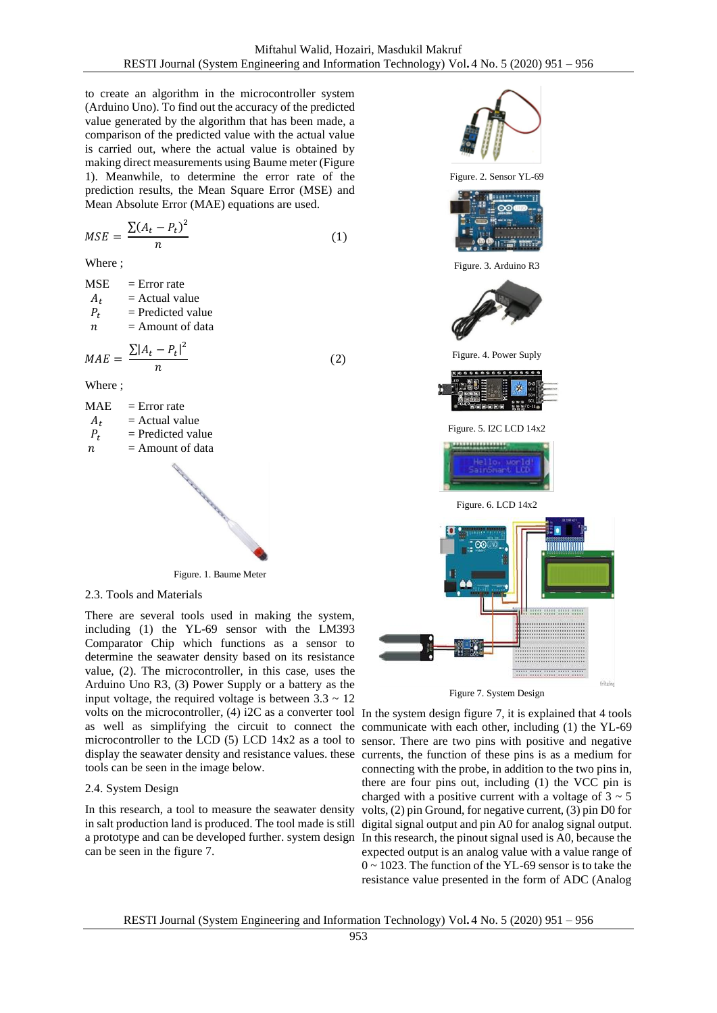(2)

to create an algorithm in the microcontroller system (Arduino Uno). To find out the accuracy of the predicted value generated by the algorithm that has been made, a comparison of the predicted value with the actual value is carried out, where the actual value is obtained by making direct measurements using Baume meter (Figure 1). Meanwhile, to determine the error rate of the prediction results, the Mean Square Error (MSE) and Mean Absolute Error (MAE) equations are used.

$$
MSE = \frac{\sum (A_t - P_t)^2}{n}
$$
 (1)

Where ;

 $MSE$  = Error rate  $A_t$  = Actual value<br>  $P_t$  = Predicted value  $=$  Predicted value  $n =$  Amount of data  $MAE = \frac{\sum |A_t - P_t|^2}{n}$  $\boldsymbol{n}$ Where ;  $MAE = Error rate$  $A_t$  = Actual value<br>  $P_t$  = Predicted value = Predicted value  $n =$  Amount of data

Figure. 1. Baume Meter

2.3. Tools and Materials

There are several tools used in making the system, including (1) the YL-69 sensor with the LM393 Comparator Chip which functions as a sensor to determine the seawater density based on its resistance value, (2). The microcontroller, in this case, uses the Arduino Uno R3, (3) Power Supply or a battery as the input voltage, the required voltage is between  $3.3 \sim 12$ volts on the microcontroller, (4) i2C as a converter tool In the system design figure 7, it is explained that 4 tools as well as simplifying the circuit to connect the communicate with each other, including (1) the YL-69 microcontroller to the LCD (5) LCD 14x2 as a tool to sensor. There are two pins with positive and negative display the seawater density and resistance values. these currents, the function of these pins is as a medium for tools can be seen in the image below.

## 2.4. System Design

In this research, a tool to measure the seawater density in salt production land is produced. The tool made is still can be seen in the figure 7.



Figure 7. System Design

a prototype and can be developed further. system design In this research, the pinout signal used is A0, because the connecting with the probe, in addition to the two pins in, there are four pins out, including (1) the VCC pin is charged with a positive current with a voltage of  $3 \sim 5$ volts, (2) pin Ground, for negative current, (3) pin D0 for digital signal output and pin A0 for analog signal output. expected output is an analog value with a value range of 0 ~ 1023. The function of the YL-69 sensor is to take the resistance value presented in the form of ADC (Analog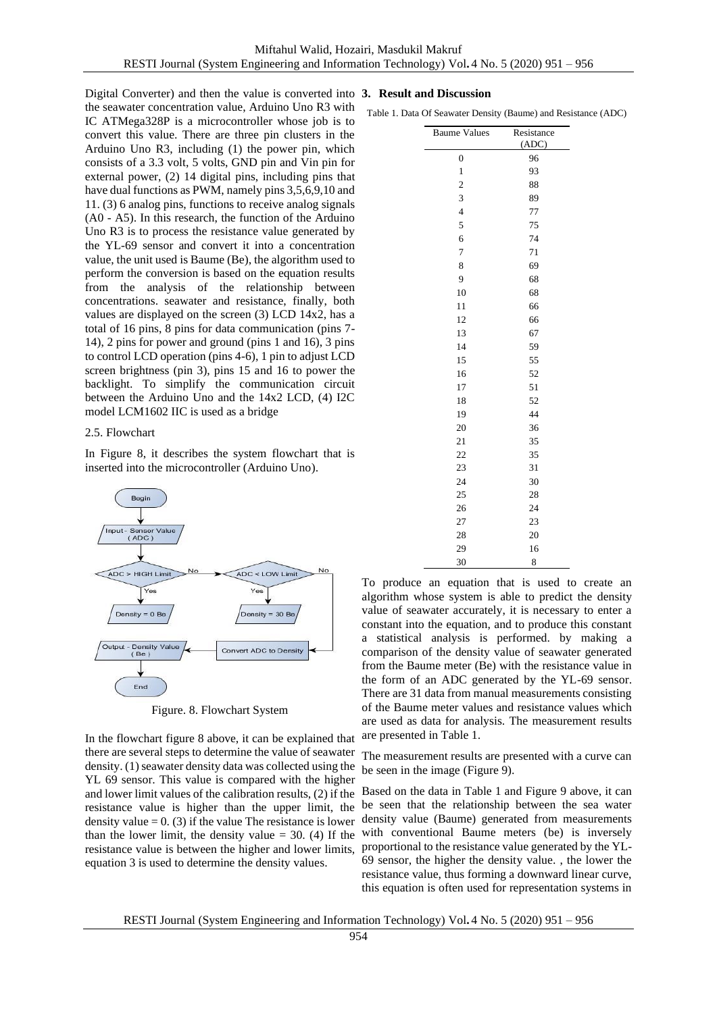Digital Converter) and then the value is converted into **3. Result and Discussion** the seawater concentration value, Arduino Uno R3 with IC ATMega328P is a microcontroller whose job is to convert this value. There are three pin clusters in the Arduino Uno R3, including (1) the power pin, which consists of a 3.3 volt, 5 volts, GND pin and Vin pin for external power, (2) 14 digital pins, including pins that have dual functions as PWM, namely pins 3,5,6,9,10 and 11. (3) 6 analog pins, functions to receive analog signals (A0 - A5). In this research, the function of the Arduino Uno R3 is to process the resistance value generated by the YL-69 sensor and convert it into a concentration value, the unit used is Baume (Be), the algorithm used to perform the conversion is based on the equation results from the analysis of the relationship between concentrations. seawater and resistance, finally, both values are displayed on the screen (3) LCD 14x2, has a total of 16 pins, 8 pins for data communication (pins 7- 14), 2 pins for power and ground (pins 1 and 16), 3 pins to control LCD operation (pins 4-6), 1 pin to adjust LCD screen brightness (pin 3), pins 15 and 16 to power the backlight. To simplify the communication circuit between the Arduino Uno and the 14x2 LCD, (4) I2C model LCM1602 IIC is used as a bridge

#### 2.5. Flowchart

In Figure 8, it describes the system flowchart that is inserted into the microcontroller (Arduino Uno).



Figure. 8. Flowchart System

In the flowchart figure 8 above, it can be explained that there are several steps to determine the value of seawater density. (1) seawater density data was collected using the YL 69 sensor. This value is compared with the higher and lower limit values of the calibration results, (2) if the resistance value is higher than the upper limit, the density value  $= 0$ . (3) if the value The resistance is lower than the lower limit, the density value  $=$  30. (4) If the resistance value is between the higher and lower limits, equation 3 is used to determine the density values.

Table 1. Data Of Seawater Density (Baume) and Resistance (ADC)

| <b>Baume Values</b>     | Resistance |  |  |
|-------------------------|------------|--|--|
|                         | (ADC)      |  |  |
| $\boldsymbol{0}$        | 96<br>93   |  |  |
| $\,1$                   |            |  |  |
| $\overline{\mathbf{c}}$ | 88         |  |  |
| 3                       | 89         |  |  |
| $\overline{\mathbf{4}}$ | 77         |  |  |
| 5                       | 75         |  |  |
| 6                       | 74         |  |  |
| 7                       | 71         |  |  |
| 8                       | 69         |  |  |
| 9                       | 68         |  |  |
| 10                      | 68         |  |  |
| 11                      | 66         |  |  |
| 12                      | 66         |  |  |
| 13                      | 67         |  |  |
| 14                      | 59<br>55   |  |  |
| 15                      |            |  |  |
| 16                      | 52         |  |  |
| 17                      | 51         |  |  |
| 18                      | 52         |  |  |
| 19                      | 44         |  |  |
| 20                      | 36         |  |  |
| 21                      | 35         |  |  |
| 22                      | 35         |  |  |
| 23                      | 31         |  |  |
| 24                      | 30         |  |  |
| 25                      | 28         |  |  |
| 26                      | 24         |  |  |
| 27                      | 23         |  |  |
| 28                      | 20         |  |  |
| 29                      | 16         |  |  |
| 30                      | 8          |  |  |

To produce an equation that is used to create an algorithm whose system is able to predict the density value of seawater accurately, it is necessary to enter a constant into the equation, and to produce this constant a statistical analysis is performed. by making a comparison of the density value of seawater generated from the Baume meter (Be) with the resistance value in the form of an ADC generated by the YL-69 sensor. There are 31 data from manual measurements consisting of the Baume meter values and resistance values which are used as data for analysis. The measurement results are presented in Table 1.

The measurement results are presented with a curve can be seen in the image (Figure 9).

Based on the data in Table 1 and Figure 9 above, it can be seen that the relationship between the sea water density value (Baume) generated from measurements with conventional Baume meters (be) is inversely proportional to the resistance value generated by the YL-69 sensor, the higher the density value. , the lower the resistance value, thus forming a downward linear curve, this equation is often used for representation systems in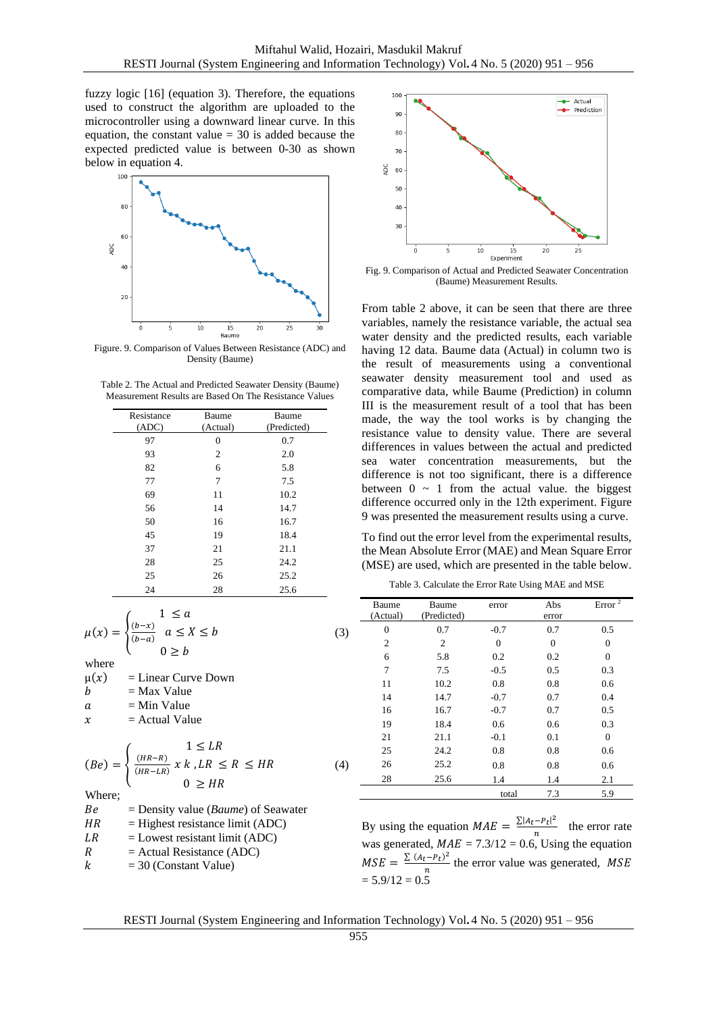fuzzy logic [16] (equation 3). Therefore, the equations used to construct the algorithm are uploaded to the microcontroller using a downward linear curve. In this equation, the constant value  $= 30$  is added because the expected predicted value is between 0-30 as shown below in equation 4.



Figure. 9. Comparison of Values Between Resistance (ADC) and Density (Baume)

| Table 2. The Actual and Predicted Seawater Density (Baume) |
|------------------------------------------------------------|
| Measurement Results are Based On The Resistance Values     |

| Resistance | Baume    | Baume       |  |
|------------|----------|-------------|--|
| (ADC)      | (Actual) | (Predicted) |  |
| 97         | $\theta$ | 0.7         |  |
| 93         | 2        | 2.0         |  |
| 82         | 6        | 5.8         |  |
| 77         | 7        | 7.5         |  |
| 69         | 11       | 10.2        |  |
| 56         | 14       | 14.7        |  |
| 50         | 16       | 16.7        |  |
| 45         | 19       | 18.4        |  |
| 37         | 21       | 21.1        |  |
| 28         | 25       | 24.2        |  |
| 25         | 26       | 25.2        |  |
| 24         | 28       | 25.6        |  |

$$
\mu(x) = \begin{cases}\n1 \le a \\
\frac{(b-x)}{(b-a)} \\
0 \ge b\n\end{cases} \quad (3)
$$

where

 $\mu(x)$  = Linear Curve Down  $b =$ Max Value  $a = Min Value$  $x =$ Actual Value  $(Be) = \{$  $1 \leq LR$  $(HR-R)$  $\frac{(HR-R)}{(HR-LR)}$  x k, LR  $\leq R \leq HR$  $0 \geq HR$ 

Whore

| $\cdots$ |                                                |
|----------|------------------------------------------------|
| Be       | $=$ Density value ( <i>Baume</i> ) of Seawater |
| HR       | $=$ Highest resistance limit (ADC)             |
| LR       | $=$ Lowest resistant limit (ADC)               |
| R        | $=$ Actual Resistance (ADC)                    |
| k        | $=$ 30 (Constant Value)                        |
|          |                                                |



Fig. 9. Comparison of Actual and Predicted Seawater Concentration (Baume) Measurement Results.

From table 2 above, it can be seen that there are three variables, namely the resistance variable, the actual sea water density and the predicted results, each variable having 12 data. Baume data (Actual) in column two is the result of measurements using a conventional seawater density measurement tool and used as comparative data, while Baume (Prediction) in column III is the measurement result of a tool that has been made, the way the tool works is by changing the resistance value to density value. There are several differences in values between the actual and predicted sea water concentration measurements, but the difference is not too significant, there is a difference between  $0 \sim 1$  from the actual value. the biggest difference occurred only in the 12th experiment. Figure 9 was presented the measurement results using a curve.

To find out the error level from the experimental results, the Mean Absolute Error (MAE) and Mean Square Error (MSE) are used, which are presented in the table below.

Table 3. Calculate the Error Rate Using MAE and MSE

|     | Baume          | Baume       | error    | Abs      | Error $^2$   |
|-----|----------------|-------------|----------|----------|--------------|
|     | (Actual)       | (Predicted) |          | error    |              |
| (3) | $\theta$       | 0.7         | $-0.7$   | 0.7      | 0.5          |
|     | $\overline{2}$ | 2           | $\Omega$ | $\theta$ | $\theta$     |
|     | 6              | 5.8         | 0.2      | 0.2      | $\Omega$     |
|     | $\overline{7}$ | 7.5         | $-0.5$   | 0.5      | 0.3          |
|     | 11             | 10.2        | 0.8      | 0.8      | 0.6          |
|     | 14             | 14.7        | $-0.7$   | 0.7      | 0.4          |
|     | 16             | 16.7        | $-0.7$   | 0.7      | 0.5          |
|     | 19             | 18.4        | 0.6      | 0.6      | 0.3          |
|     | 21             | 21.1        | $-0.1$   | 0.1      | $\mathbf{0}$ |
|     | 25             | 24.2        | 0.8      | 0.8      | 0.6          |
| (4) | 26             | 25.2        | 0.8      | 0.8      | 0.6          |
|     | 28             | 25.6        | 1.4      | 1.4      | 2.1          |
|     |                |             | total    | 7.3      | 5.9          |
|     |                |             |          |          |              |

By using the equation  $MAE = \frac{\sum |A_t - P_t|^2}{n}$  $\frac{n!}{n}$  the error rate was generated,  $MAE = 7.3/12 = 0.6$ , Using the equation  $MSE = \frac{\sum (A_t - P_t)^2}{n}$  $\frac{t-r_t}{n}$  the error value was generated, *MSE*  $= 5.9/12 = 0.5$